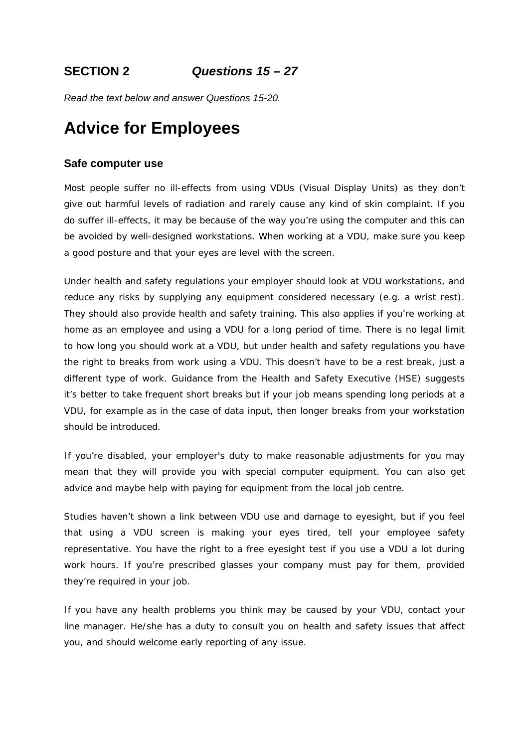*Read the text below and answer Questions 15-20.* 

## **Advice for Employees**

#### **Safe computer use**

Most people suffer no ill-effects from using VDUs (Visual Display Units) as they don't give out harmful levels of radiation and rarely cause any kind of skin complaint. If you do suffer ill-effects, it may be because of the way you're using the computer and this can be avoided by well-designed workstations. When working at a VDU, make sure you keep a good posture and that your eyes are level with the screen.

Under health and safety regulations your employer should look at VDU workstations, and reduce any risks by supplying any equipment considered necessary (e.g. a wrist rest). They should also provide health and safety training. This also applies if you're working at home as an employee and using a VDU for a long period of time. There is no legal limit to how long you should work at a VDU, but under health and safety regulations you have the right to breaks from work using a VDU. This doesn't have to be a rest break, just a different type of work. Guidance from the Health and Safety Executive (HSE) suggests it's better to take frequent short breaks but if your job means spending long periods at a VDU, for example as in the case of data input, then longer breaks from your workstation should be introduced.

If you're disabled, your employer's duty to make reasonable adjustments for you may mean that they will provide you with special computer equipment. You can also get advice and maybe help with paying for equipment from the local job centre.

Studies haven't shown a link between VDU use and damage to eyesight, but if you feel that using a VDU screen is making your eyes tired, tell your employee safety representative. You have the right to a free eyesight test if you use a VDU a lot during work hours. If you're prescribed glasses your company must pay for them, provided they're required in your job.

If you have any health problems you think may be caused by your VDU, contact your line manager. He/she has a duty to consult you on health and safety issues that affect you, and should welcome early reporting of any issue.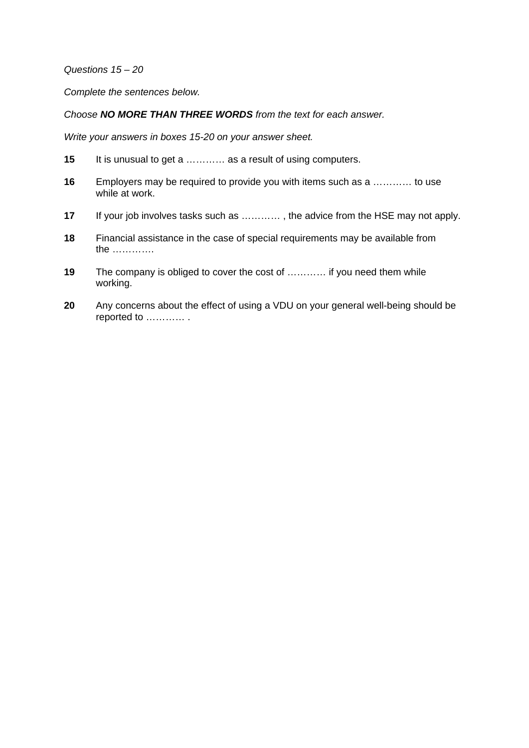*Questions 15 – 20* 

*Complete the sentences below.* 

*Choose NO MORE THAN THREE WORDS from the text for each answer.* 

*Write your answers in boxes 15-20 on your answer sheet.* 

- **15** It is unusual to get a ………… as a result of using computers.
- **16** Employers may be required to provide you with items such as a ………… to use while at work.
- **17** If your job involves tasks such as ………… , the advice from the HSE may not apply.
- **18** Financial assistance in the case of special requirements may be available from the ………….
- **19** The company is obliged to cover the cost of ………… if you need them while working.
- **20** Any concerns about the effect of using a VDU on your general well-being should be reported to ………… .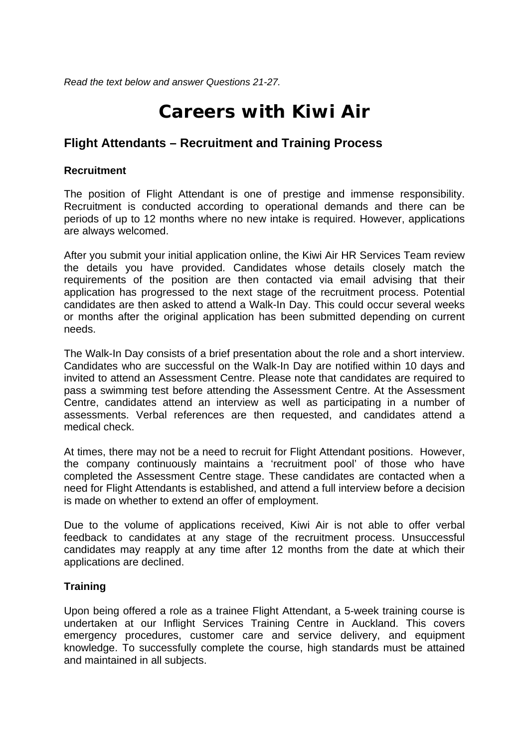*Read the text below and answer Questions 21-27.* 

# **Careers with Kiwi Air**

## **Flight Attendants – Recruitment and Training Process**

### **Recruitment**

The position of Flight Attendant is one of prestige and immense responsibility. Recruitment is conducted according to operational demands and there can be periods of up to 12 months where no new intake is required. However, applications are always welcomed.

After you submit your initial application online, the Kiwi Air HR Services Team review the details you have provided. Candidates whose details closely match the requirements of the position are then contacted via email advising that their application has progressed to the next stage of the recruitment process. Potential candidates are then asked to attend a Walk-In Day. This could occur several weeks or months after the original application has been submitted depending on current needs.

The Walk-In Day consists of a brief presentation about the role and a short interview. Candidates who are successful on the Walk-In Day are notified within 10 days and invited to attend an Assessment Centre. Please note that candidates are required to pass a swimming test before attending the Assessment Centre. At the Assessment Centre, candidates attend an interview as well as participating in a number of assessments. Verbal references are then requested, and candidates attend a medical check.

At times, there may not be a need to recruit for Flight Attendant positions. However, the company continuously maintains a 'recruitment pool' of those who have completed the Assessment Centre stage. These candidates are contacted when a need for Flight Attendants is established, and attend a full interview before a decision is made on whether to extend an offer of employment.

Due to the volume of applications received, Kiwi Air is not able to offer verbal feedback to candidates at any stage of the recruitment process. Unsuccessful candidates may reapply at any time after 12 months from the date at which their applications are declined.

### **Training**

Upon being offered a role as a trainee Flight Attendant, a 5-week training course is undertaken at our Inflight Services Training Centre in Auckland. This covers emergency procedures, customer care and service delivery, and equipment knowledge. To successfully complete the course, high standards must be attained and maintained in all subjects.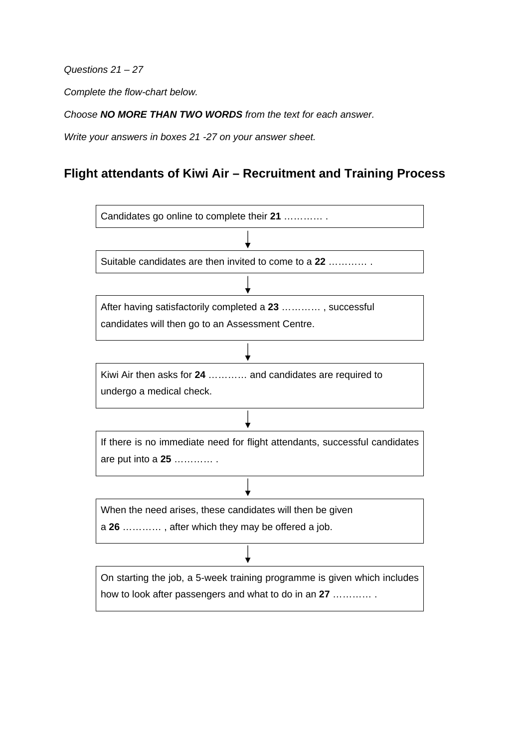*Questions 21 – 27* 

*Complete the flow-chart below.* 

*Choose NO MORE THAN TWO WORDS from the text for each answer.* 

*Write your answers in boxes 21 -27 on your answer sheet.* 

## **Flight attendants of Kiwi Air – Recruitment and Training Process**